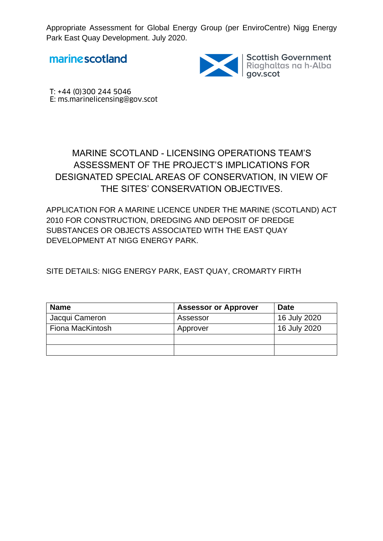marinescotland



Scottish Government<br>Riaghaltas na h-Alba<br>gov.scot

T: +44 (0)300 244 5046 E: ms.marinelicensing@gov.scot

## MARINE SCOTLAND - LICENSING OPERATIONS TEAM'S ASSESSMENT OF THE PROJECT'S IMPLICATIONS FOR DESIGNATED SPECIAL AREAS OF CONSERVATION, IN VIEW OF THE SITES' CONSERVATION OBJECTIVES.

APPLICATION FOR A MARINE LICENCE UNDER THE MARINE (SCOTLAND) ACT 2010 FOR CONSTRUCTION, DREDGING AND DEPOSIT OF DREDGE SUBSTANCES OR OBJECTS ASSOCIATED WITH THE EAST QUAY DEVELOPMENT AT NIGG ENERGY PARK.

SITE DETAILS: NIGG ENERGY PARK, EAST QUAY, CROMARTY FIRTH

| <b>Name</b>      | <b>Assessor or Approver</b> | <b>Date</b>  |
|------------------|-----------------------------|--------------|
| Jacqui Cameron   | Assessor                    | 16 July 2020 |
| Fiona MacKintosh | Approver                    | 16 July 2020 |
|                  |                             |              |
|                  |                             |              |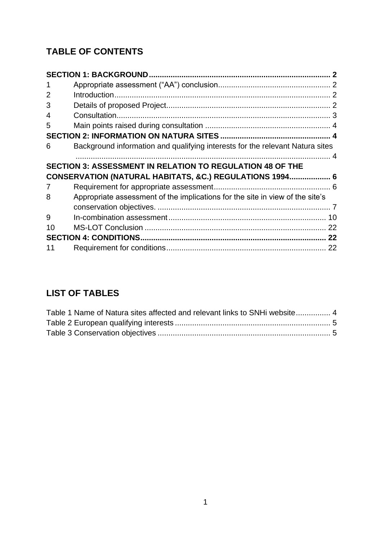# **TABLE OF CONTENTS**

| 1              |                                                                               |  |
|----------------|-------------------------------------------------------------------------------|--|
| $\overline{2}$ |                                                                               |  |
| 3              |                                                                               |  |
| 4              |                                                                               |  |
| 5              |                                                                               |  |
|                |                                                                               |  |
| 6              | Background information and qualifying interests for the relevant Natura sites |  |
|                |                                                                               |  |
|                | <b>SECTION 3: ASSESSMENT IN RELATION TO REGULATION 48 OF THE</b>              |  |
|                |                                                                               |  |
|                | CONSERVATION (NATURAL HABITATS, &C.) REGULATIONS 1994 6                       |  |
| 7              |                                                                               |  |
| 8              | Appropriate assessment of the implications for the site in view of the site's |  |
|                |                                                                               |  |
| 9              |                                                                               |  |
| 10             |                                                                               |  |
|                |                                                                               |  |

## **LIST OF TABLES**

| Table 1 Name of Natura sites affected and relevant links to SNHi website 4 |  |
|----------------------------------------------------------------------------|--|
|                                                                            |  |
|                                                                            |  |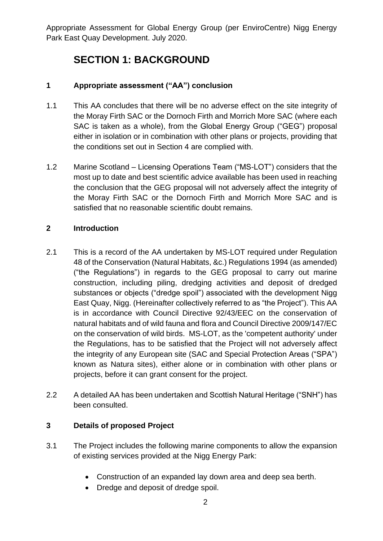# **SECTION 1: BACKGROUND**

## <span id="page-2-1"></span><span id="page-2-0"></span>**1 Appropriate assessment ("AA") conclusion**

- 1.1 This AA concludes that there will be no adverse effect on the site integrity of the Moray Firth SAC or the Dornoch Firth and Morrich More SAC (where each SAC is taken as a whole), from the Global Energy Group ("GEG") proposal either in isolation or in combination with other plans or projects, providing that the conditions set out in Section 4 are complied with.
- 1.2 Marine Scotland Licensing Operations Team ("MS-LOT") considers that the most up to date and best scientific advice available has been used in reaching the conclusion that the GEG proposal will not adversely affect the integrity of the Moray Firth SAC or the Dornoch Firth and Morrich More SAC and is satisfied that no reasonable scientific doubt remains.

## <span id="page-2-2"></span>**2 Introduction**

- 2.1 This is a record of the AA undertaken by MS-LOT required under Regulation 48 of the Conservation (Natural Habitats, &c.) Regulations 1994 (as amended) ("the Regulations") in regards to the GEG proposal to carry out marine construction, including piling, dredging activities and deposit of dredged substances or objects ("dredge spoil") associated with the development Nigg East Quay, Nigg. (Hereinafter collectively referred to as "the Project"). This AA is in accordance with Council Directive 92/43/EEC on the conservation of natural habitats and of wild fauna and flora and Council Directive 2009/147/EC on the conservation of wild birds. MS-LOT, as the 'competent authority' under the Regulations, has to be satisfied that the Project will not adversely affect the integrity of any European site (SAC and Special Protection Areas ("SPA") known as Natura sites), either alone or in combination with other plans or projects, before it can grant consent for the project.
- 2.2 A detailed AA has been undertaken and Scottish Natural Heritage ("SNH") has been consulted.

### <span id="page-2-3"></span>**3 Details of proposed Project**

- 3.1 The Project includes the following marine components to allow the expansion of existing services provided at the Nigg Energy Park:
	- Construction of an expanded lay down area and deep sea berth.
	- Dredge and deposit of dredge spoil.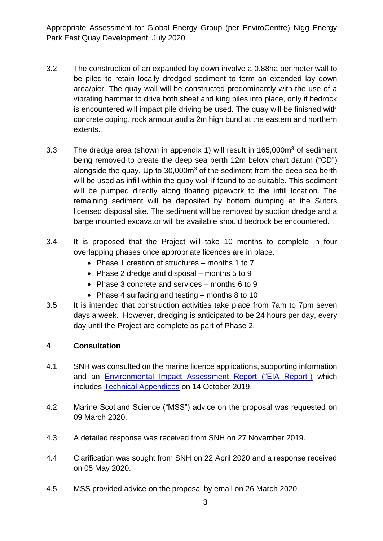- 3.2 The construction of an expanded lay down involve a 0.88ha perimeter wall to be piled to retain locally dredged sediment to form an extended lay down area/pier. The quay wall will be constructed predominantly with the use of a vibrating hammer to drive both sheet and king piles into place, only if bedrock is encountered will impact pile driving be used. The quay will be finished with concrete coping, rock armour and a 2m high bund at the eastern and northern extents.
- 3.3 The dredge area (shown in appendix 1) will result in 165,000m<sup>3</sup> of sediment being removed to create the deep sea berth 12m below chart datum ("CD") alongside the quay. Up to  $30,000m<sup>3</sup>$  of the sediment from the deep sea berth will be used as infill within the quay wall if found to be suitable. This sediment will be pumped directly along floating pipework to the infill location. The remaining sediment will be deposited by bottom dumping at the Sutors licensed disposal site. The sediment will be removed by suction dredge and a barge mounted excavator will be available should bedrock be encountered.
- 3.4 It is proposed that the Project will take 10 months to complete in four overlapping phases once appropriate licences are in place.
	- Phase 1 creation of structures months 1 to 7
	- Phase 2 dredge and disposal months  $5$  to  $9$
	- Phase 3 concrete and services months 6 to 9
	- Phase 4 surfacing and testing months 8 to 10
- 3.5 It is intended that construction activities take place from 7am to 7pm seven days a week. However, dredging is anticipated to be 24 hours per day, every day until the Project are complete as part of Phase 2.

### <span id="page-3-0"></span>**4 Consultation**

- 4.1 SNH was consulted on the marine licence applications, supporting information and an [Environmental Impact Assessment Report \("EIA Report"\)](http://marine.gov.scot/data/0706807069-environmental-impact-assessment-report) which includes [Technical Appendices](http://s1431a/Systems/EventsOnline/Web/Event.aspx?eid=17206) on 14 October 2019.
- 4.2 Marine Scotland Science ("MSS") advice on the proposal was requested on 09 March 2020.
- 4.3 A detailed response was received from SNH on 27 November 2019.
- 4.4 Clarification was sought from SNH on 22 April 2020 and a response received on 05 May 2020.
- 4.5 MSS provided advice on the proposal by email on 26 March 2020.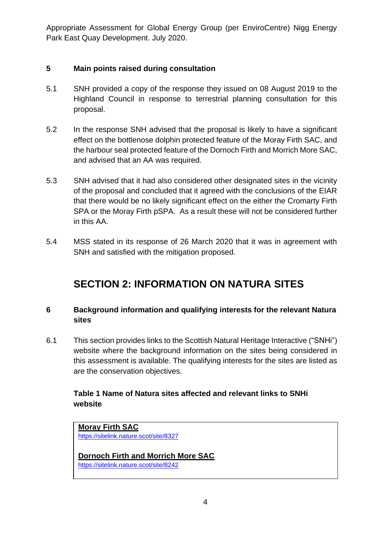### <span id="page-4-0"></span>**5 Main points raised during consultation**

- 5.1 SNH provided a copy of the response they issued on 08 August 2019 to the Highland Council in response to terrestrial planning consultation for this proposal.
- 5.2 In the response SNH advised that the proposal is likely to have a significant effect on the bottlenose dolphin protected feature of the Moray Firth SAC, and the harbour seal protected feature of the Dornoch Firth and Morrich More SAC, and advised that an AA was required.
- 5.3 SNH advised that it had also considered other designated sites in the vicinity of the proposal and concluded that it agreed with the conclusions of the EIAR that there would be no likely significant effect on the either the Cromarty Firth SPA or the Moray Firth pSPA. As a result these will not be considered further in this AA.
- 5.4 MSS stated in its response of 26 March 2020 that it was in agreement with SNH and satisfied with the mitigation proposed.

# **SECTION 2: INFORMATION ON NATURA SITES**

## <span id="page-4-2"></span><span id="page-4-1"></span>**6 Background information and qualifying interests for the relevant Natura sites**

6.1 This section provides links to the Scottish Natural Heritage Interactive ("SNHi") website where the background information on the sites being considered in this assessment is available. The qualifying interests for the sites are listed as are the conservation objectives.

## <span id="page-4-3"></span>**Table 1 Name of Natura sites affected and relevant links to SNHi website**

**Moray Firth SAC** <https://sitelink.nature.scot/site/8327>

**Dornoch Firth and Morrich More SAC** https://sitelink.nature.scot/site/8242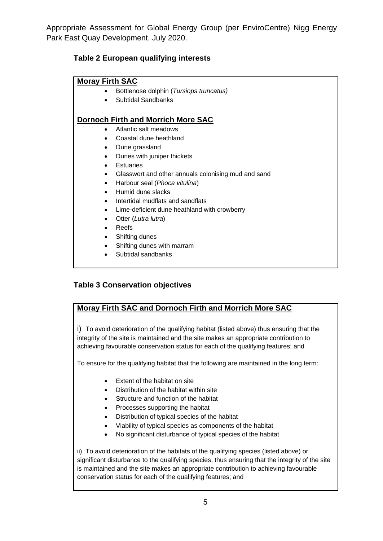## <span id="page-5-0"></span>**Table 2 European qualifying interests**

#### **Moray Firth SAC**

- Bottlenose dolphin (*Tursiops truncatus)*
- Subtidal Sandbanks

#### **Dornoch Firth and Morrich More SAC**

- Atlantic salt meadows
- Coastal dune heathland
- Dune grassland
- Dunes with juniper thickets
- **•** Estuaries
- Glasswort and other annuals colonising mud and sand
- Harbour seal (*Phoca vitulina*)
- Humid dune slacks
- Intertidal mudflats and sandflats
- Lime-deficient dune heathland with crowberry
- Otter (*Lutra lutra*)
- Reefs
- Shifting dunes
- Shifting dunes with marram
- Subtidal sandbanks

### <span id="page-5-1"></span>**Table 3 Conservation objectives**

### **Moray Firth SAC and Dornoch Firth and Morrich More SAC**

i) To avoid deterioration of the qualifying habitat (listed above) thus ensuring that the integrity of the site is maintained and the site makes an appropriate contribution to achieving favourable conservation status for each of the qualifying features; and

To ensure for the qualifying habitat that the following are maintained in the long term:

- Extent of the habitat on site
- Distribution of the habitat within site
- Structure and function of the habitat
- Processes supporting the habitat
- Distribution of typical species of the habitat
- Viability of typical species as components of the habitat
- No significant disturbance of typical species of the habitat

ii) To avoid deterioration of the habitats of the qualifying species (listed above) or significant disturbance to the qualifying species, thus ensuring that the integrity of the site is maintained and the site makes an appropriate contribution to achieving favourable conservation status for each of the qualifying features; and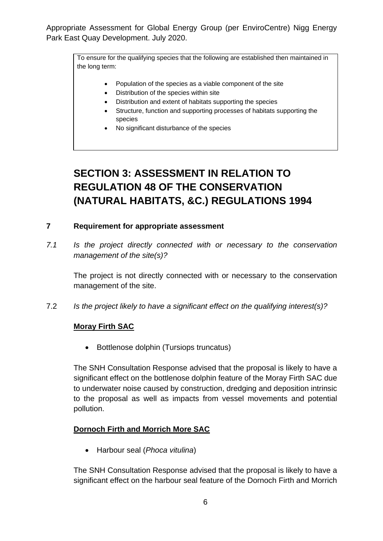> To ensure for the qualifying species that the following are established then maintained in the long term:

- Population of the species as a viable component of the site
- Distribution of the species within site
- Distribution and extent of habitats supporting the species
- Structure, function and supporting processes of habitats supporting the species
- No significant disturbance of the species

# <span id="page-6-0"></span>**SECTION 3: ASSESSMENT IN RELATION TO REGULATION 48 OF THE CONSERVATION (NATURAL HABITATS, &C.) REGULATIONS 1994**

#### <span id="page-6-1"></span>**7 Requirement for appropriate assessment**

*7.1 Is the project directly connected with or necessary to the conservation management of the site(s)?* 

The project is not directly connected with or necessary to the conservation management of the site.

7.2 *Is the project likely to have a significant effect on the qualifying interest(s)?*

### **Moray Firth SAC**

• Bottlenose dolphin (Tursiops truncatus)

The SNH Consultation Response advised that the proposal is likely to have a significant effect on the bottlenose dolphin feature of the Moray Firth SAC due to underwater noise caused by construction, dredging and deposition intrinsic to the proposal as well as impacts from vessel movements and potential pollution.

### **Dornoch Firth and Morrich More SAC**

Harbour seal (*Phoca vitulina*)

The SNH Consultation Response advised that the proposal is likely to have a significant effect on the harbour seal feature of the Dornoch Firth and Morrich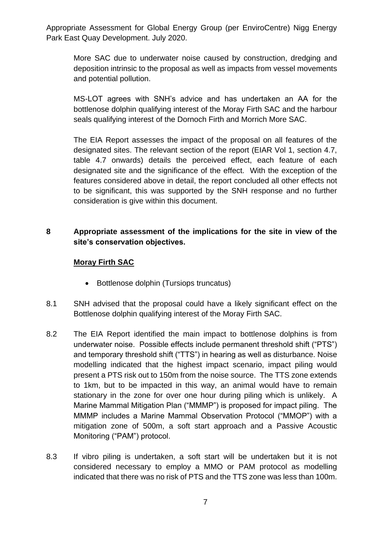More SAC due to underwater noise caused by construction, dredging and deposition intrinsic to the proposal as well as impacts from vessel movements and potential pollution.

MS-LOT agrees with SNH's advice and has undertaken an AA for the bottlenose dolphin qualifying interest of the Moray Firth SAC and the harbour seals qualifying interest of the Dornoch Firth and Morrich More SAC.

The EIA Report assesses the impact of the proposal on all features of the designated sites. The relevant section of the report (EIAR Vol 1, section 4.7, table 4.7 onwards) details the perceived effect, each feature of each designated site and the significance of the effect. With the exception of the features considered above in detail, the report concluded all other effects not to be significant, this was supported by the SNH response and no further consideration is give within this document.

## <span id="page-7-0"></span>**8 Appropriate assessment of the implications for the site in view of the site's conservation objectives.**

### **Moray Firth SAC**

- Bottlenose dolphin (Tursiops truncatus)
- 8.1 SNH advised that the proposal could have a likely significant effect on the Bottlenose dolphin qualifying interest of the Moray Firth SAC.
- 8.2 The EIA Report identified the main impact to bottlenose dolphins is from underwater noise. Possible effects include permanent threshold shift ("PTS") and temporary threshold shift ("TTS") in hearing as well as disturbance. Noise modelling indicated that the highest impact scenario, impact piling would present a PTS risk out to 150m from the noise source. The TTS zone extends to 1km, but to be impacted in this way, an animal would have to remain stationary in the zone for over one hour during piling which is unlikely. A Marine Mammal Mitigation Plan ("MMMP") is proposed for impact piling. The MMMP includes a Marine Mammal Observation Protocol ("MMOP") with a mitigation zone of 500m, a soft start approach and a Passive Acoustic Monitoring ("PAM") protocol.
- 8.3 If vibro piling is undertaken, a soft start will be undertaken but it is not considered necessary to employ a MMO or PAM protocol as modelling indicated that there was no risk of PTS and the TTS zone was less than 100m.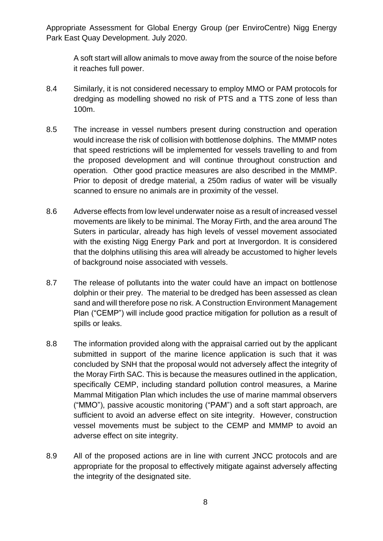A soft start will allow animals to move away from the source of the noise before it reaches full power.

- 8.4 Similarly, it is not considered necessary to employ MMO or PAM protocols for dredging as modelling showed no risk of PTS and a TTS zone of less than 100m.
- 8.5 The increase in vessel numbers present during construction and operation would increase the risk of collision with bottlenose dolphins. The MMMP notes that speed restrictions will be implemented for vessels travelling to and from the proposed development and will continue throughout construction and operation. Other good practice measures are also described in the MMMP. Prior to deposit of dredge material, a 250m radius of water will be visually scanned to ensure no animals are in proximity of the vessel.
- 8.6 Adverse effects from low level underwater noise as a result of increased vessel movements are likely to be minimal. The Moray Firth, and the area around The Suters in particular, already has high levels of vessel movement associated with the existing Nigg Energy Park and port at Invergordon. It is considered that the dolphins utilising this area will already be accustomed to higher levels of background noise associated with vessels.
- 8.7 The release of pollutants into the water could have an impact on bottlenose dolphin or their prey. The material to be dredged has been assessed as clean sand and will therefore pose no risk. A Construction Environment Management Plan ("CEMP") will include good practice mitigation for pollution as a result of spills or leaks.
- 8.8 The information provided along with the appraisal carried out by the applicant submitted in support of the marine licence application is such that it was concluded by SNH that the proposal would not adversely affect the integrity of the Moray Firth SAC. This is because the measures outlined in the application, specifically CEMP, including standard pollution control measures, a Marine Mammal Mitigation Plan which includes the use of marine mammal observers ("MMO"), passive acoustic monitoring ("PAM") and a soft start approach, are sufficient to avoid an adverse effect on site integrity. However, construction vessel movements must be subject to the CEMP and MMMP to avoid an adverse effect on site integrity.
- 8.9 All of the proposed actions are in line with current JNCC protocols and are appropriate for the proposal to effectively mitigate against adversely affecting the integrity of the designated site.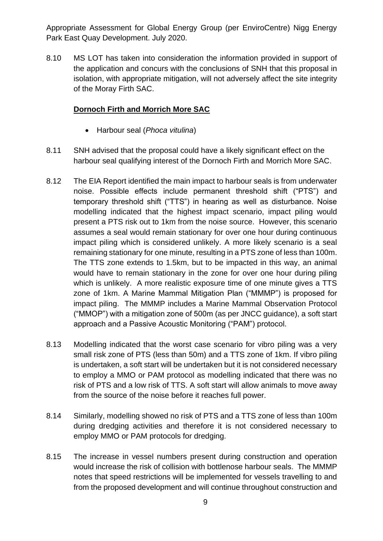8.10 MS LOT has taken into consideration the information provided in support of the application and concurs with the conclusions of SNH that this proposal in isolation, with appropriate mitigation, will not adversely affect the site integrity of the Moray Firth SAC.

## **Dornoch Firth and Morrich More SAC**

- Harbour seal (*Phoca vitulina*)
- 8.11 SNH advised that the proposal could have a likely significant effect on the harbour seal qualifying interest of the Dornoch Firth and Morrich More SAC.
- 8.12 The EIA Report identified the main impact to harbour seals is from underwater noise. Possible effects include permanent threshold shift ("PTS") and temporary threshold shift ("TTS") in hearing as well as disturbance. Noise modelling indicated that the highest impact scenario, impact piling would present a PTS risk out to 1km from the noise source. However, this scenario assumes a seal would remain stationary for over one hour during continuous impact piling which is considered unlikely. A more likely scenario is a seal remaining stationary for one minute, resulting in a PTS zone of less than 100m. The TTS zone extends to 1.5km, but to be impacted in this way, an animal would have to remain stationary in the zone for over one hour during piling which is unlikely. A more realistic exposure time of one minute gives a TTS zone of 1km. A Marine Mammal Mitigation Plan ("MMMP") is proposed for impact piling. The MMMP includes a Marine Mammal Observation Protocol ("MMOP") with a mitigation zone of 500m (as per JNCC guidance), a soft start approach and a Passive Acoustic Monitoring ("PAM") protocol.
- 8.13 Modelling indicated that the worst case scenario for vibro piling was a very small risk zone of PTS (less than 50m) and a TTS zone of 1km. If vibro piling is undertaken, a soft start will be undertaken but it is not considered necessary to employ a MMO or PAM protocol as modelling indicated that there was no risk of PTS and a low risk of TTS. A soft start will allow animals to move away from the source of the noise before it reaches full power.
- 8.14 Similarly, modelling showed no risk of PTS and a TTS zone of less than 100m during dredging activities and therefore it is not considered necessary to employ MMO or PAM protocols for dredging.
- 8.15 The increase in vessel numbers present during construction and operation would increase the risk of collision with bottlenose harbour seals. The MMMP notes that speed restrictions will be implemented for vessels travelling to and from the proposed development and will continue throughout construction and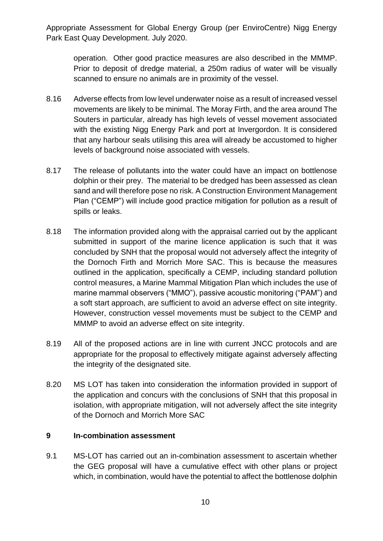operation. Other good practice measures are also described in the MMMP. Prior to deposit of dredge material, a 250m radius of water will be visually scanned to ensure no animals are in proximity of the vessel.

- 8.16 Adverse effects from low level underwater noise as a result of increased vessel movements are likely to be minimal. The Moray Firth, and the area around The Souters in particular, already has high levels of vessel movement associated with the existing Nigg Energy Park and port at Invergordon. It is considered that any harbour seals utilising this area will already be accustomed to higher levels of background noise associated with vessels.
- 8.17 The release of pollutants into the water could have an impact on bottlenose dolphin or their prey. The material to be dredged has been assessed as clean sand and will therefore pose no risk. A Construction Environment Management Plan ("CEMP") will include good practice mitigation for pollution as a result of spills or leaks.
- 8.18 The information provided along with the appraisal carried out by the applicant submitted in support of the marine licence application is such that it was concluded by SNH that the proposal would not adversely affect the integrity of the Dornoch Firth and Morrich More SAC. This is because the measures outlined in the application, specifically a CEMP, including standard pollution control measures, a Marine Mammal Mitigation Plan which includes the use of marine mammal observers ("MMO"), passive acoustic monitoring ("PAM") and a soft start approach, are sufficient to avoid an adverse effect on site integrity. However, construction vessel movements must be subject to the CEMP and MMMP to avoid an adverse effect on site integrity.
- 8.19 All of the proposed actions are in line with current JNCC protocols and are appropriate for the proposal to effectively mitigate against adversely affecting the integrity of the designated site.
- 8.20 MS LOT has taken into consideration the information provided in support of the application and concurs with the conclusions of SNH that this proposal in isolation, with appropriate mitigation, will not adversely affect the site integrity of the Dornoch and Morrich More SAC

#### <span id="page-10-0"></span>**9 In-combination assessment**

9.1 MS-LOT has carried out an in-combination assessment to ascertain whether the GEG proposal will have a cumulative effect with other plans or project which, in combination, would have the potential to affect the bottlenose dolphin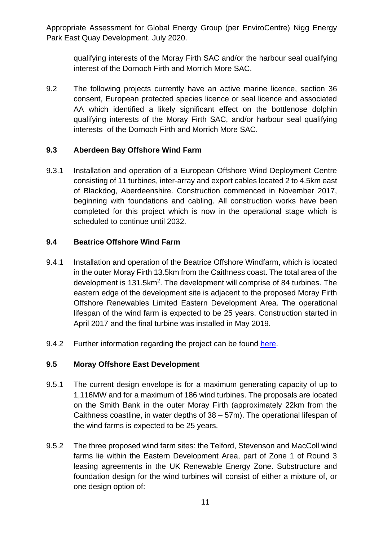qualifying interests of the Moray Firth SAC and/or the harbour seal qualifying interest of the Dornoch Firth and Morrich More SAC.

9.2 The following projects currently have an active marine licence, section 36 consent, European protected species licence or seal licence and associated AA which identified a likely significant effect on the bottlenose dolphin qualifying interests of the Moray Firth SAC, and/or harbour seal qualifying interests of the Dornoch Firth and Morrich More SAC.

## **9.3 Aberdeen Bay Offshore Wind Farm**

9.3.1 Installation and operation of a European Offshore Wind Deployment Centre consisting of 11 turbines, inter-array and export cables located 2 to 4.5km east of Blackdog, Aberdeenshire. Construction commenced in November 2017, beginning with foundations and cabling. All construction works have been completed for this project which is now in the operational stage which is scheduled to continue until 2032.

## **9.4 Beatrice Offshore Wind Farm**

- 9.4.1 Installation and operation of the Beatrice Offshore Windfarm, which is located in the outer Moray Firth 13.5km from the Caithness coast. The total area of the development is 131.5km<sup>2</sup>. The development will comprise of 84 turbines. The eastern edge of the development site is adjacent to the proposed Moray Firth Offshore Renewables Limited Eastern Development Area. The operational lifespan of the wind farm is expected to be 25 years. Construction started in April 2017 and the final turbine was installed in May 2019.
- 9.4.2 Further information regarding the project can be found [here.](http://marine.gov.scot/ml/beatrice-offshore-windfarm)

### **9.5 Moray Offshore East Development**

- 9.5.1 The current design envelope is for a maximum generating capacity of up to 1,116MW and for a maximum of 186 wind turbines. The proposals are located on the Smith Bank in the outer Moray Firth (approximately 22km from the Caithness coastline, in water depths of 38 – 57m). The operational lifespan of the wind farms is expected to be 25 years.
- 9.5.2 The three proposed wind farm sites: the Telford, Stevenson and MacColl wind farms lie within the Eastern Development Area, part of Zone 1 of Round 3 leasing agreements in the UK Renewable Energy Zone. Substructure and foundation design for the wind turbines will consist of either a mixture of, or one design option of: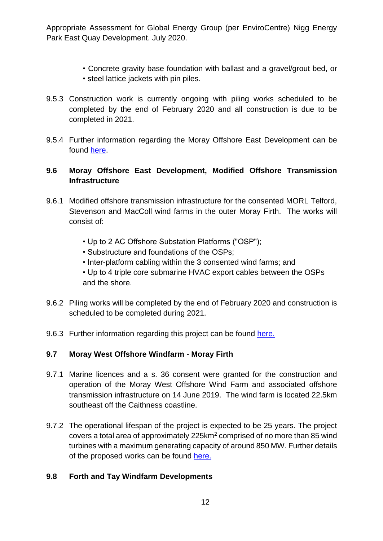- Concrete gravity base foundation with ballast and a gravel/grout bed, or
- steel lattice jackets with pin piles.
- 9.5.3 Construction work is currently ongoing with piling works scheduled to be completed by the end of February 2020 and all construction is due to be completed in 2021.
- 9.5.4 Further information regarding the Moray Offshore East Development can be found [here.](http://www.gov.scot/Topics/marine/Licensing/marine/scoping/Moray3)

## **9.6 Moray Offshore East Development, Modified Offshore Transmission Infrastructure**

- 9.6.1 Modified offshore transmission infrastructure for the consented MORL Telford, Stevenson and MacColl wind farms in the outer Moray Firth. The works will consist of:
	- Up to 2 AC Offshore Substation Platforms ("OSP");
	- Substructure and foundations of the OSPs;
	- Inter-platform cabling within the 3 consented wind farms; and
	- Up to 4 triple core submarine HVAC export cables between the OSPs and the shore.
- 9.6.2 Piling works will be completed by the end of February 2020 and construction is scheduled to be completed during 2021.
- 9.6.3 Further information regarding this project can be found [here.](http://marine.gov.scot/ml/moray-east-offshore-windfarm)

## **9.7 Moray West Offshore Windfarm - Moray Firth**

- 9.7.1 Marine licences and a s. 36 consent were granted for the construction and operation of the Moray West Offshore Wind Farm and associated offshore transmission infrastructure on 14 June 2019. The wind farm is located 22.5km southeast off the Caithness coastline.
- 9.7.2 The operational lifespan of the project is expected to be 25 years. The project covers a total area of approximately 225km<sup>2</sup> comprised of no more than 85 wind turbines with a maximum generating capacity of around 850 MW. Further details of the proposed works can be found [here.](http://marine.gov.scot/ml/moray-west-offshore-windfarm)

### **9.8 Forth and Tay Windfarm Developments**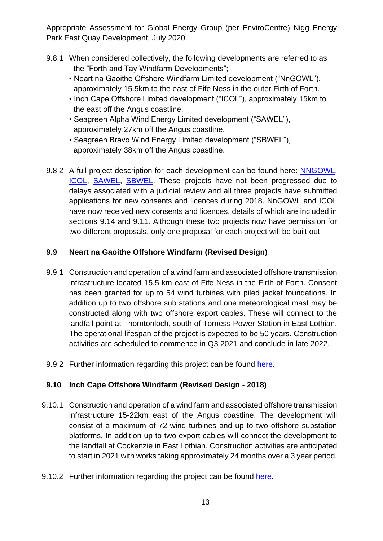- 9.8.1 When considered collectively, the following developments are referred to as the "Forth and Tay Windfarm Developments";
	- Neart na Gaoithe Offshore Windfarm Limited development ("NnGOWL"), approximately 15.5km to the east of Fife Ness in the outer Firth of Forth.
	- Inch Cape Offshore Limited development ("ICOL"), approximately 15km to the east off the Angus coastline.
	- Seagreen Alpha Wind Energy Limited development ("SAWEL"), approximately 27km off the Angus coastline.
	- Seagreen Bravo Wind Energy Limited development ("SBWEL"), approximately 38km off the Angus coastline.
- 9.8.2 A full project description for each development can be found here: [NNGOWL,](http://www.gov.scot/Topics/marine/Licensing/marine/scoping/Mainstream-NeartnaGaoithe) [ICOL,](http://www.gov.scot/Topics/marine/Licensing/marine/scoping/InchCape) [SAWEL,](http://www.gov.scot/Topics/marine/Licensing/marine/scoping/Seagreen3) [SBWEL.](http://www.gov.scot/Topics/marine/Licensing/marine/scoping/Seagreen3) These projects have not been progressed due to delays associated with a judicial review and all three projects have submitted applications for new consents and licences during 2018. NnGOWL and ICOL have now received new consents and licences, details of which are included in sections 9.14 and 9.11. Although these two projects now have permission for two different proposals, only one proposal for each project will be built out.

## **9.9 Neart na Gaoithe Offshore Windfarm (Revised Design)**

- 9.9.1 Construction and operation of a wind farm and associated offshore transmission infrastructure located 15.5 km east of Fife Ness in the Firth of Forth. Consent has been granted for up to 54 wind turbines with piled jacket foundations. In addition up to two offshore sub stations and one meteorological mast may be constructed along with two offshore export cables. These will connect to the landfall point at Thorntonloch, south of Torness Power Station in East Lothian. The operational lifespan of the project is expected to be 50 years. Construction activities are scheduled to commence in Q3 2021 and conclude in late 2022.
- 9.9.2 Further information regarding this project can be found [here.](http://marine.gov.scot/ml/neart-na-gaoithe-offshore-windfarm-revised-design)

## **9.10 Inch Cape Offshore Windfarm (Revised Design - 2018)**

- 9.10.1 Construction and operation of a wind farm and associated offshore transmission infrastructure 15-22km east of the Angus coastline. The development will consist of a maximum of 72 wind turbines and up to two offshore substation platforms. In addition up to two export cables will connect the development to the landfall at Cockenzie in East Lothian. Construction activities are anticipated to start in 2021 with works taking approximately 24 months over a 3 year period.
- 9.10.2 Further information regarding the project can be found [here.](http://marine.gov.scot/ml/inch-cape-offshore-windfarm-revised-design)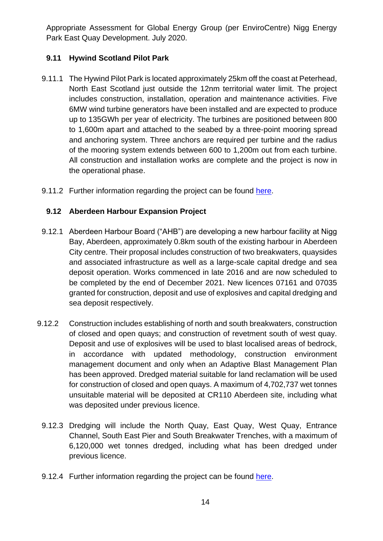## **9.11 Hywind Scotland Pilot Park**

- 9.11.1 The Hywind Pilot Park is located approximately 25km off the coast at Peterhead, North East Scotland just outside the 12nm territorial water limit. The project includes construction, installation, operation and maintenance activities. Five 6MW wind turbine generators have been installed and are expected to produce up to 135GWh per year of electricity. The turbines are positioned between 800 to 1,600m apart and attached to the seabed by a three-point mooring spread and anchoring system. Three anchors are required per turbine and the radius of the mooring system extends between 600 to 1,200m out from each turbine. All construction and installation works are complete and the project is now in the operational phase.
- 9.11.2 Further information regarding the project can be found [here.](http://www.gov.scot/Topics/marine/Licensing/marine/scoping/Hywind)

#### **9.12 Aberdeen Harbour Expansion Project**

- 9.12.1 Aberdeen Harbour Board ("AHB") are developing a new harbour facility at Nigg Bay, Aberdeen, approximately 0.8km south of the existing harbour in Aberdeen City centre. Their proposal includes construction of two breakwaters, quaysides and associated infrastructure as well as a large-scale capital dredge and sea deposit operation. Works commenced in late 2016 and are now scheduled to be completed by the end of December 2021. New licences 07161 and 07035 granted for construction, deposit and use of explosives and capital dredging and sea deposit respectively.
- 9.12.2 Construction includes establishing of north and south breakwaters, construction of closed and open quays; and construction of revetment south of west quay. Deposit and use of explosives will be used to blast localised areas of bedrock, in accordance with updated methodology, construction environment management document and only when an Adaptive Blast Management Plan has been approved. Dredged material suitable for land reclamation will be used for construction of closed and open quays. A maximum of 4,702,737 wet tonnes unsuitable material will be deposited at CR110 Aberdeen site, including what was deposited under previous licence.
	- 9.12.3 Dredging will include the North Quay, East Quay, West Quay, Entrance Channel, South East Pier and South Breakwater Trenches, with a maximum of 6,120,000 wet tonnes dredged, including what has been dredged under previous licence.
	- 9.12.4 Further information regarding the project can be found [here.](http://marine.gov.scot/ml/aberdeen-harbour-expansion)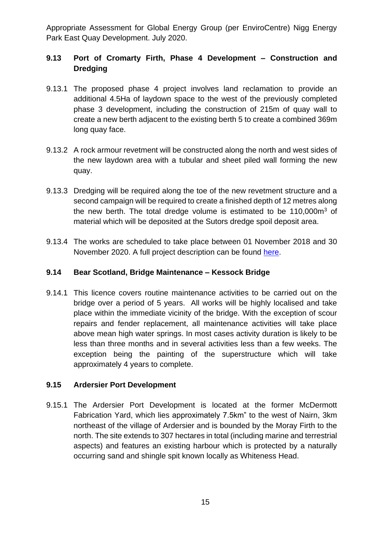## **9.13 Port of Cromarty Firth, Phase 4 Development – Construction and Dredging**

- 9.13.1 The proposed phase 4 project involves land reclamation to provide an additional 4.5Ha of laydown space to the west of the previously completed phase 3 development, including the construction of 215m of quay wall to create a new berth adjacent to the existing berth 5 to create a combined 369m long quay face.
- 9.13.2 A rock armour revetment will be constructed along the north and west sides of the new laydown area with a tubular and sheet piled wall forming the new quay.
- 9.13.3 Dredging will be required along the toe of the new revetment structure and a second campaign will be required to create a finished depth of 12 metres along the new berth. The total dredge volume is estimated to be 110,000m<sup>3</sup> of material which will be deposited at the Sutors dredge spoil deposit area.
- 9.13.4 The works are scheduled to take place between 01 November 2018 and 30 November 2020. A full project description can be found [here.](http://www.gov.scot/Topics/marine/Licensing/marine/scoping/currentccnp/CFPAP4)

### **9.14 Bear Scotland, Bridge Maintenance – Kessock Bridge**

9.14.1 This licence covers routine maintenance activities to be carried out on the bridge over a period of 5 years. All works will be highly localised and take place within the immediate vicinity of the bridge. With the exception of scour repairs and fender replacement, all maintenance activities will take place above mean high water springs. In most cases activity duration is likely to be less than three months and in several activities less than a few weeks. The exception being the painting of the superstructure which will take approximately 4 years to complete.

### **9.15 Ardersier Port Development**

9.15.1 The Ardersier Port Development is located at the former McDermott Fabrication Yard, which lies approximately 7.5km" to the west of Nairn, 3km northeast of the village of Ardersier and is bounded by the Moray Firth to the north. The site extends to 307 hectares in total (including marine and terrestrial aspects) and features an existing harbour which is protected by a naturally occurring sand and shingle spit known locally as Whiteness Head.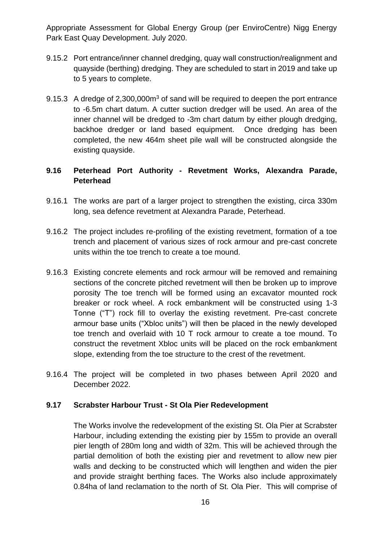- 9.15.2 Port entrance/inner channel dredging, quay wall construction/realignment and quayside (berthing) dredging. They are scheduled to start in 2019 and take up to 5 years to complete.
- 9.15.3 A dredge of 2,300,000m<sup>3</sup> of sand will be required to deepen the port entrance to -6.5m chart datum. A cutter suction dredger will be used. An area of the inner channel will be dredged to -3m chart datum by either plough dredging, backhoe dredger or land based equipment. Once dredging has been completed, the new 464m sheet pile wall will be constructed alongside the existing quayside.

## **9.16 Peterhead Port Authority - Revetment Works, Alexandra Parade, Peterhead**

- 9.16.1 The works are part of a larger project to strengthen the existing, circa 330m long, sea defence revetment at Alexandra Parade, Peterhead.
- 9.16.2 The project includes re-profiling of the existing revetment, formation of a toe trench and placement of various sizes of rock armour and pre-cast concrete units within the toe trench to create a toe mound.
- 9.16.3 Existing concrete elements and rock armour will be removed and remaining sections of the concrete pitched revetment will then be broken up to improve porosity The toe trench will be formed using an excavator mounted rock breaker or rock wheel. A rock embankment will be constructed using 1-3 Tonne ("T") rock fill to overlay the existing revetment. Pre-cast concrete armour base units ("Xbloc units") will then be placed in the newly developed toe trench and overlaid with 10 T rock armour to create a toe mound. To construct the revetment Xbloc units will be placed on the rock embankment slope, extending from the toe structure to the crest of the revetment.
- 9.16.4 The project will be completed in two phases between April 2020 and December 2022.

### **9.17 Scrabster Harbour Trust - St Ola Pier Redevelopment**

The Works involve the redevelopment of the existing St. Ola Pier at Scrabster Harbour, including extending the existing pier by 155m to provide an overall pier length of 280m long and width of 32m. This will be achieved through the partial demolition of both the existing pier and revetment to allow new pier walls and decking to be constructed which will lengthen and widen the pier and provide straight berthing faces. The Works also include approximately 0.84ha of land reclamation to the north of St. Ola Pier. This will comprise of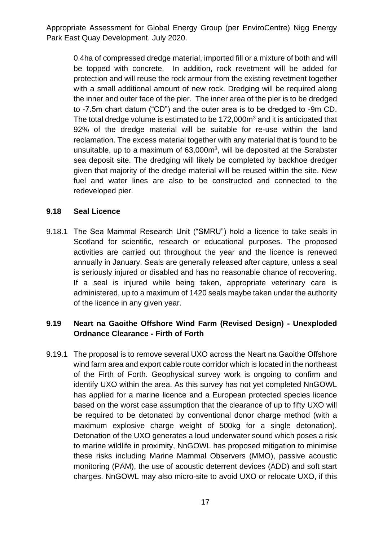0.4ha of compressed dredge material, imported fill or a mixture of both and will be topped with concrete. In addition, rock revetment will be added for protection and will reuse the rock armour from the existing revetment together with a small additional amount of new rock. Dredging will be required along the inner and outer face of the pier. The inner area of the pier is to be dredged to -7.5m chart datum ("CD") and the outer area is to be dredged to -9m CD. The total dredge volume is estimated to be 172,000m<sup>3</sup> and it is anticipated that 92% of the dredge material will be suitable for re-use within the land reclamation. The excess material together with any material that is found to be unsuitable, up to a maximum of  $63,000m^3$ , will be deposited at the Scrabster sea deposit site. The dredging will likely be completed by backhoe dredger given that majority of the dredge material will be reused within the site. New fuel and water lines are also to be constructed and connected to the redeveloped pier.

#### **9.18 Seal Licence**

9.18.1 The Sea Mammal Research Unit ("SMRU") hold a licence to take seals in Scotland for scientific, research or educational purposes. The proposed activities are carried out throughout the year and the licence is renewed annually in January. Seals are generally released after capture, unless a seal is seriously injured or disabled and has no reasonable chance of recovering. If a seal is injured while being taken, appropriate veterinary care is administered, up to a maximum of 1420 seals maybe taken under the authority of the licence in any given year.

## **9.19 Neart na Gaoithe Offshore Wind Farm (Revised Design) - Unexploded Ordnance Clearance - Firth of Forth**

9.19.1 The proposal is to remove several UXO across the Neart na Gaoithe Offshore wind farm area and export cable route corridor which is located in the northeast of the Firth of Forth. Geophysical survey work is ongoing to confirm and identify UXO within the area. As this survey has not yet completed NnGOWL has applied for a marine licence and a European protected species licence based on the worst case assumption that the clearance of up to fifty UXO will be required to be detonated by conventional donor charge method (with a maximum explosive charge weight of 500kg for a single detonation). Detonation of the UXO generates a loud underwater sound which poses a risk to marine wildlife in proximity, NnGOWL has proposed mitigation to minimise these risks including Marine Mammal Observers (MMO), passive acoustic monitoring (PAM), the use of acoustic deterrent devices (ADD) and soft start charges. NnGOWL may also micro-site to avoid UXO or relocate UXO, if this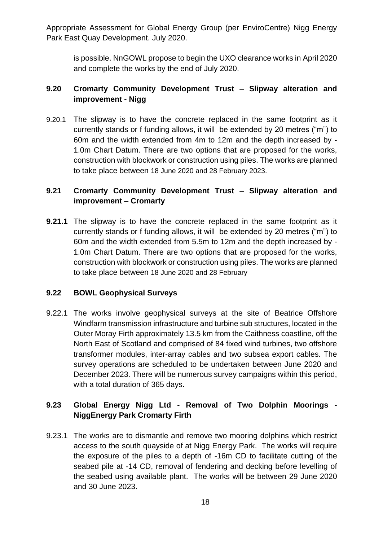is possible. NnGOWL propose to begin the UXO clearance works in April 2020 and complete the works by the end of July 2020.

## **9.20 Cromarty Community Development Trust – Slipway alteration and improvement - Nigg**

9.20.1 The slipway is to have the concrete replaced in the same footprint as it currently stands or f funding allows, it will be extended by 20 metres ("m") to 60m and the width extended from 4m to 12m and the depth increased by - 1.0m Chart Datum. There are two options that are proposed for the works, construction with blockwork or construction using piles. The works are planned to take place between 18 June 2020 and 28 February 2023.

## **9.21 Cromarty Community Development Trust – Slipway alteration and improvement – Cromarty**

**9.21.1** The slipway is to have the concrete replaced in the same footprint as it currently stands or f funding allows, it will be extended by 20 metres ("m") to 60m and the width extended from 5.5m to 12m and the depth increased by - 1.0m Chart Datum. There are two options that are proposed for the works, construction with blockwork or construction using piles. The works are planned to take place between 18 June 2020 and 28 February

### **9.22 BOWL Geophysical Surveys**

9.22.1 The works involve geophysical surveys at the site of Beatrice Offshore Windfarm transmission infrastructure and turbine sub structures, located in the Outer Moray Firth approximately 13.5 km from the Caithness coastline, off the North East of Scotland and comprised of 84 fixed wind turbines, two offshore transformer modules, inter-array cables and two subsea export cables. The survey operations are scheduled to be undertaken between June 2020 and December 2023. There will be numerous survey campaigns within this period, with a total duration of 365 days.

## **9.23 Global Energy Nigg Ltd - Removal of Two Dolphin Moorings - NiggEnergy Park Cromarty Firth**

9.23.1 The works are to dismantle and remove two mooring dolphins which restrict access to the south quayside of at Nigg Energy Park. The works will require the exposure of the piles to a depth of -16m CD to facilitate cutting of the seabed pile at -14 CD, removal of fendering and decking before levelling of the seabed using available plant. The works will be between 29 June 2020 and 30 June 2023.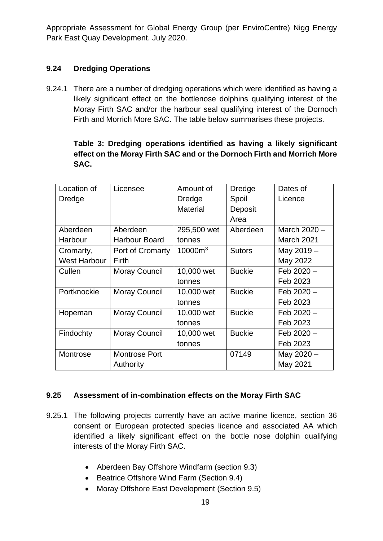## **9.24 Dredging Operations**

9.24.1 There are a number of dredging operations which were identified as having a likely significant effect on the bottlenose dolphins qualifying interest of the Moray Firth SAC and/or the harbour seal qualifying interest of the Dornoch Firth and Morrich More SAC. The table below summarises these projects.

## **Table 3: Dredging operations identified as having a likely significant effect on the Moray Firth SAC and or the Dornoch Firth and Morrich More SAC.**

| Location of         | Licensee             | Amount of       | Dredge        | Dates of          |
|---------------------|----------------------|-----------------|---------------|-------------------|
| Dredge              |                      | Dredge          | Spoil         | Licence           |
|                     |                      | <b>Material</b> | Deposit       |                   |
|                     |                      |                 | Area          |                   |
| Aberdeen            | Aberdeen             | 295,500 wet     | Aberdeen      | March 2020 -      |
| Harbour             | <b>Harbour Board</b> | tonnes          |               | <b>March 2021</b> |
| Cromarty,           | Port of Cromarty     | $10000m^3$      | <b>Sutors</b> | May 2019 -        |
| <b>West Harbour</b> | Firth                |                 |               | May 2022          |
| Cullen              | <b>Moray Council</b> | 10,000 wet      | <b>Buckie</b> | $Feb 2020 -$      |
|                     |                      | tonnes          |               | Feb 2023          |
| Portknockie         | <b>Moray Council</b> | 10,000 wet      | <b>Buckie</b> | $Feb 2020 -$      |
|                     |                      | tonnes          |               | Feb 2023          |
| Hopeman             | <b>Moray Council</b> | 10,000 wet      | <b>Buckie</b> | Feb 2020 -        |
|                     |                      | tonnes          |               | Feb 2023          |
| Findochty           | <b>Moray Council</b> | 10,000 wet      | <b>Buckie</b> | $Feb 2020 -$      |
|                     |                      | tonnes          |               | Feb 2023          |
| Montrose            | <b>Montrose Port</b> |                 | 07149         | May 2020 -        |
|                     | Authority            |                 |               | May 2021          |

### **9.25 Assessment of in-combination effects on the Moray Firth SAC**

- 9.25.1 The following projects currently have an active marine licence, section 36 consent or European protected species licence and associated AA which identified a likely significant effect on the bottle nose dolphin qualifying interests of the Moray Firth SAC.
	- Aberdeen Bay Offshore Windfarm (section 9.3)
	- Beatrice Offshore Wind Farm (Section 9.4)
	- Moray Offshore East Development (Section 9.5)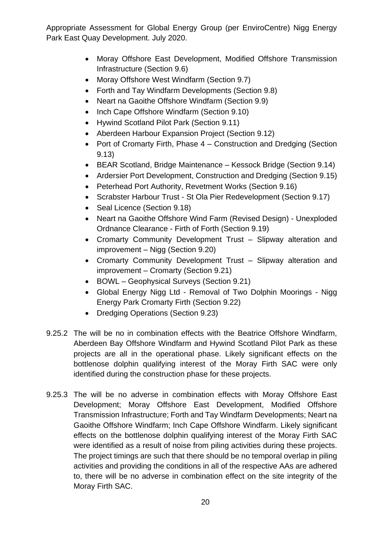- Moray Offshore East Development, Modified Offshore Transmission Infrastructure (Section 9.6)
- Moray Offshore West Windfarm (Section 9.7)
- Forth and Tay Windfarm Developments (Section 9.8)
- Neart na Gaoithe Offshore Windfarm (Section 9.9)
- Inch Cape Offshore Windfarm (Section 9.10)
- Hywind Scotland Pilot Park (Section 9.11)
- Aberdeen Harbour Expansion Project (Section 9.12)
- Port of Cromarty Firth, Phase 4 Construction and Dredging (Section 9.13)
- BEAR Scotland, Bridge Maintenance Kessock Bridge (Section 9.14)
- Ardersier Port Development, Construction and Dredging (Section 9.15)
- Peterhead Port Authority, Revetment Works (Section 9.16)
- Scrabster Harbour Trust St Ola Pier Redevelopment (Section 9.17)
- Seal Licence (Section 9.18)
- Neart na Gaoithe Offshore Wind Farm (Revised Design) Unexploded Ordnance Clearance - Firth of Forth (Section 9.19)
- Cromarty Community Development Trust Slipway alteration and improvement – Nigg (Section 9.20)
- Cromarty Community Development Trust Slipway alteration and improvement – Cromarty (Section 9.21)
- BOWL Geophysical Surveys (Section 9.21)
- Global Energy Nigg Ltd Removal of Two Dolphin Moorings Nigg Energy Park Cromarty Firth (Section 9.22)
- Dredging Operations (Section 9.23)
- 9.25.2 The will be no in combination effects with the Beatrice Offshore Windfarm, Aberdeen Bay Offshore Windfarm and Hywind Scotland Pilot Park as these projects are all in the operational phase. Likely significant effects on the bottlenose dolphin qualifying interest of the Moray Firth SAC were only identified during the construction phase for these projects.
- 9.25.3 The will be no adverse in combination effects with Moray Offshore East Development; Moray Offshore East Development, Modified Offshore Transmission Infrastructure; Forth and Tay Windfarm Developments; Neart na Gaoithe Offshore Windfarm; Inch Cape Offshore Windfarm. Likely significant effects on the bottlenose dolphin qualifying interest of the Moray Firth SAC were identified as a result of noise from piling activities during these projects. The project timings are such that there should be no temporal overlap in piling activities and providing the conditions in all of the respective AAs are adhered to, there will be no adverse in combination effect on the site integrity of the Moray Firth SAC.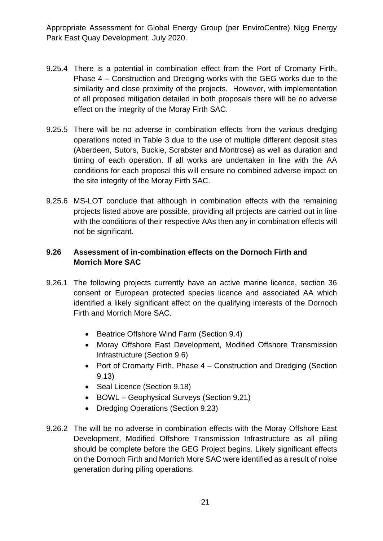- 9.25.4 There is a potential in combination effect from the Port of Cromarty Firth, Phase 4 – Construction and Dredging works with the GEG works due to the similarity and close proximity of the projects. However, with implementation of all proposed mitigation detailed in both proposals there will be no adverse effect on the integrity of the Moray Firth SAC.
- 9.25.5 There will be no adverse in combination effects from the various dredging operations noted in Table 3 due to the use of multiple different deposit sites (Aberdeen, Sutors, Buckie, Scrabster and Montrose) as well as duration and timing of each operation. If all works are undertaken in line with the AA conditions for each proposal this will ensure no combined adverse impact on the site integrity of the Moray Firth SAC.
- 9.25.6 MS-LOT conclude that although in combination effects with the remaining projects listed above are possible, providing all projects are carried out in line with the conditions of their respective AAs then any in combination effects will not be significant.

## **9.26 Assessment of in-combination effects on the Dornoch Firth and Morrich More SAC**

- 9.26.1 The following projects currently have an active marine licence, section 36 consent or European protected species licence and associated AA which identified a likely significant effect on the qualifying interests of the Dornoch Firth and Morrich More SAC.
	- Beatrice Offshore Wind Farm (Section 9.4)
	- Moray Offshore East Development, Modified Offshore Transmission Infrastructure (Section 9.6)
	- Port of Cromarty Firth, Phase 4 Construction and Dredging (Section 9.13)
	- Seal Licence (Section 9.18)
	- BOWL Geophysical Surveys (Section 9.21)
	- Dredging Operations (Section 9.23)
- 9.26.2 The will be no adverse in combination effects with the Moray Offshore East Development, Modified Offshore Transmission Infrastructure as all piling should be complete before the GEG Project begins. Likely significant effects on the Dornoch Firth and Morrich More SAC were identified as a result of noise generation during piling operations.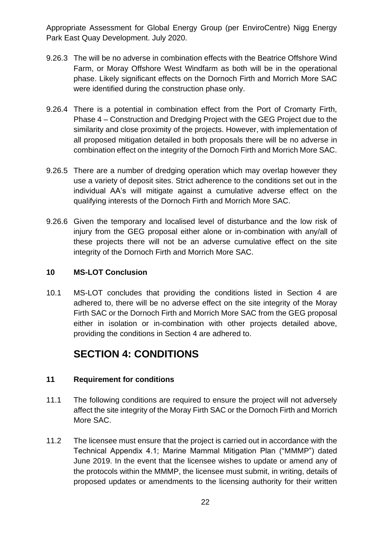- 9.26.3 The will be no adverse in combination effects with the Beatrice Offshore Wind Farm, or Moray Offshore West Windfarm as both will be in the operational phase. Likely significant effects on the Dornoch Firth and Morrich More SAC were identified during the construction phase only.
- 9.26.4 There is a potential in combination effect from the Port of Cromarty Firth, Phase 4 – Construction and Dredging Project with the GEG Project due to the similarity and close proximity of the projects. However, with implementation of all proposed mitigation detailed in both proposals there will be no adverse in combination effect on the integrity of the Dornoch Firth and Morrich More SAC.
- 9.26.5 There are a number of dredging operation which may overlap however they use a variety of deposit sites. Strict adherence to the conditions set out in the individual AA's will mitigate against a cumulative adverse effect on the qualifying interests of the Dornoch Firth and Morrich More SAC.
- 9.26.6 Given the temporary and localised level of disturbance and the low risk of injury from the GEG proposal either alone or in-combination with any/all of these projects there will not be an adverse cumulative effect on the site integrity of the Dornoch Firth and Morrich More SAC.

### <span id="page-22-0"></span>**10 MS-LOT Conclusion**

10.1 MS-LOT concludes that providing the conditions listed in Section 4 are adhered to, there will be no adverse effect on the site integrity of the Moray Firth SAC or the Dornoch Firth and Morrich More SAC from the GEG proposal either in isolation or in-combination with other projects detailed above, providing the conditions in Section 4 are adhered to.

## **SECTION 4: CONDITIONS**

### <span id="page-22-2"></span><span id="page-22-1"></span>**11 Requirement for conditions**

- 11.1 The following conditions are required to ensure the project will not adversely affect the site integrity of the Moray Firth SAC or the Dornoch Firth and Morrich More SAC.
- 11.2 The licensee must ensure that the project is carried out in accordance with the Technical Appendix 4.1; Marine Mammal Mitigation Plan ("MMMP") dated June 2019. In the event that the licensee wishes to update or amend any of the protocols within the MMMP, the licensee must submit, in writing, details of proposed updates or amendments to the licensing authority for their written